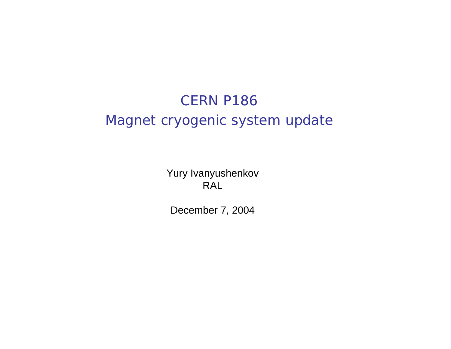# CERN P186 Magnet cryogenic system update

Yury Ivanyushenkov RAL

December 7, 2004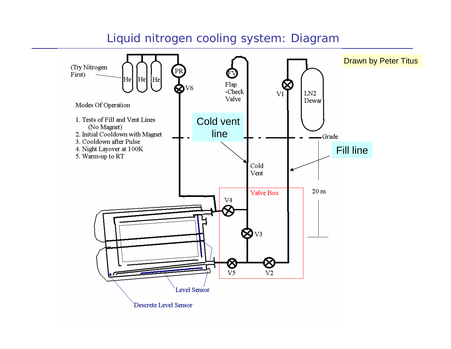## Liquid nitrogen cooling system: Diagram

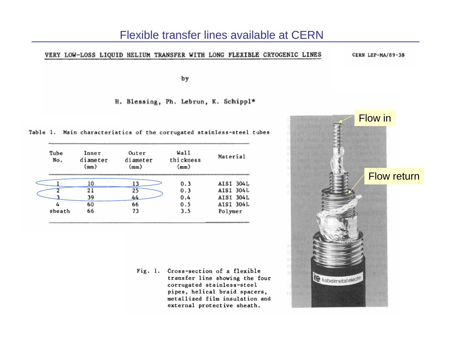#### Flexible transfer lines available at CERN

#### VERY LOW-LOSS LIQUID HELIUM TRANSFER WITH LONG FLEXIBLE CRYOGENIC LINES

CERN LEP-MA/89-38

by

H. Blessing, Ph. Lebrun, K. Schippl\*

Table 1. Main characteristics of the corrugated stainless-steel tubes

| Tube<br>No. | Inner<br>diameter<br>(mm) | Outer<br>diameter<br>(mm) | Wall<br>thickness<br>(mm) | Material         |  |
|-------------|---------------------------|---------------------------|---------------------------|------------------|--|
|             | 10                        |                           | 0.3                       | AISI 304L        |  |
|             | 21                        | 25                        | 0.3                       | <b>AISI 304L</b> |  |
|             | 39                        | 44                        | 0.4                       | AISI 304L        |  |
|             | 60                        | 66                        | 0.5                       | <b>AISI 304L</b> |  |
| sheath      | 66                        | 73                        | 3.5                       | Polymer          |  |

Fig. 1. Cross-section of a flexible transfer line showing the four corrugated stainless-steel pipes, helical braid spacers, metallized film insulation and external protective sheath.

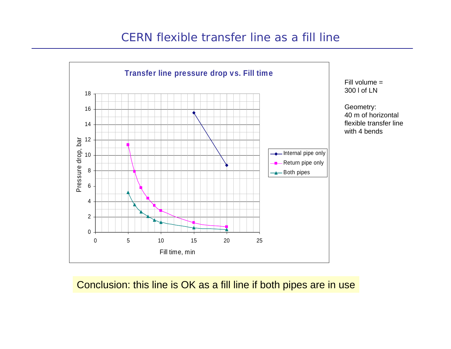## CERN flexible transfer line as a fill line



Fill volume = 300 l of LN

Geometry: 40 m of horizontal flexible transfer linewith 4 bends

### Conclusion: this line is OK as a fill line if both pipes are in use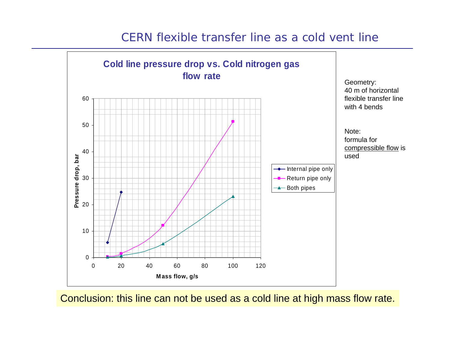# CERN flexible transfer line as a cold vent line**Cold line pressure drop vs. Cold nitrogen gas**



Conclusion: this line can not be used as a cold line at high mass flow rate.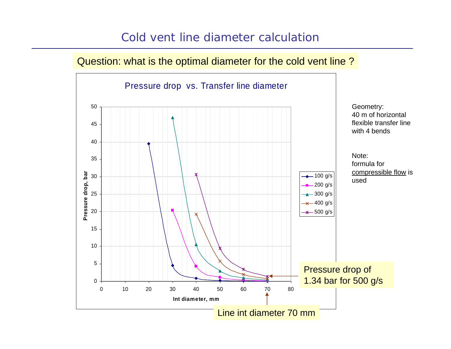# Cold vent line diameter calculation

### Question: what is the optimal diameter for the cold vent line ?

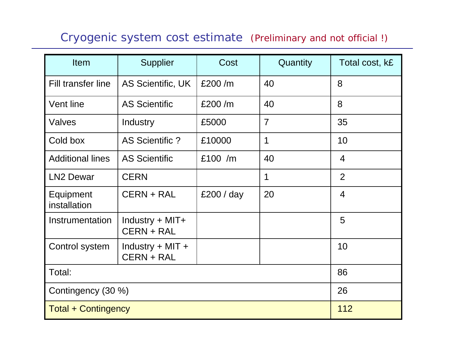# Cryogenic system cost estimate (Preliminary and not official !)

| <b>Item</b>                | Supplier                                  | Cost       | Quantity       | Total cost, k£ |
|----------------------------|-------------------------------------------|------------|----------------|----------------|
| Fill transfer line         | AS Scientific, UK                         | £200/m     | 40             | 8              |
| Vent line                  | <b>AS Scientific</b>                      | £200/m     | 40             | 8              |
| Valves                     | Industry                                  | £5000      | $\overline{7}$ | 35             |
| Cold box                   | AS Scientific?                            | £10000     | 1              | 10             |
| <b>Additional lines</b>    | <b>AS Scientific</b>                      | £100 $/m$  | 40             | 4              |
| <b>LN2 Dewar</b>           | <b>CERN</b>                               |            | 1              | $\overline{2}$ |
| Equipment<br>installation  | CERN + RAL                                | £200 / day | 20             | $\overline{4}$ |
| Instrumentation            | Industry + MIT+<br><b>CERN + RAL</b>      |            |                | 5              |
| Control system             | Industry $+$ MIT $+$<br><b>CERN + RAL</b> |            |                | 10             |
| Total:                     |                                           |            |                | 86             |
| Contingency (30 %)         |                                           |            |                | 26             |
| <b>Total + Contingency</b> |                                           |            |                | 112            |